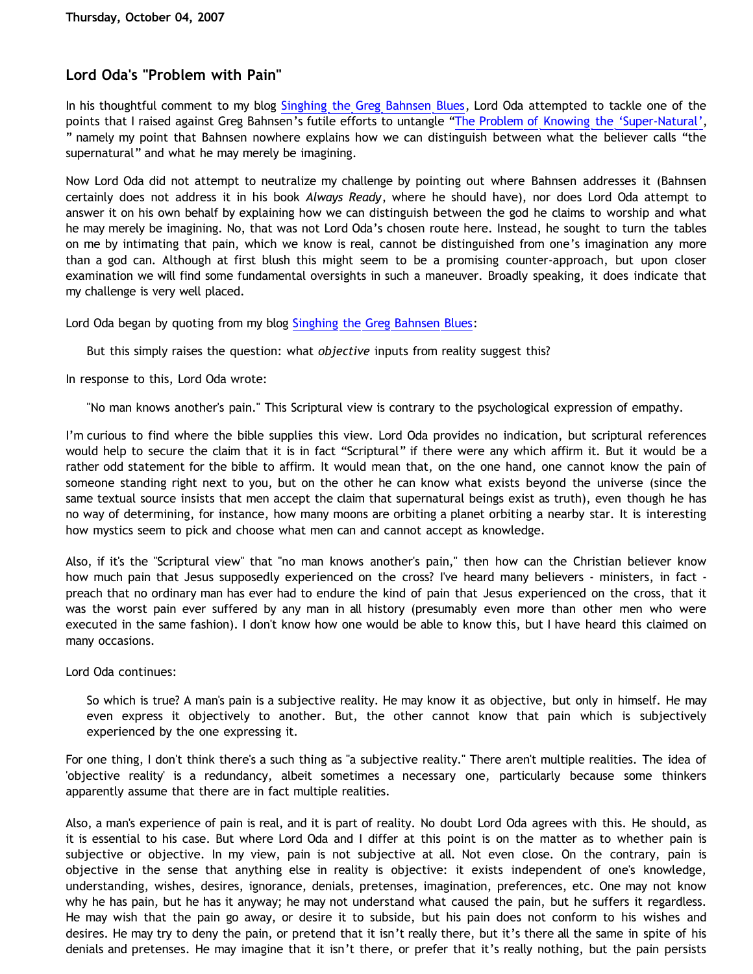## **Lord Oda's "Problem with Pain"**

In his thoughtful comment to my blog [Singhing the Greg Bahnsen Blues,](http://bahnsenburner.blogspot.com/2007/09/singhing-greg-bahnsen-blues.html) Lord Oda attempted to tackle one of the points that I raised against Greg Bahnsen's futile efforts to untangle ["The Problem of Knowing the](http://bahnsenburner.blogspot.com/2007/09/roadmap-to-bahnsen-on-supernatural.html) ['Super-Natural',](http://bahnsenburner.blogspot.com/2007/09/roadmap-to-bahnsen-on-supernatural.html) " namely my point that Bahnsen nowhere explains how we can distinguish between what the believer calls "the supernatural" and what he may merely be imagining.

Now Lord Oda did not attempt to neutralize my challenge by pointing out where Bahnsen addresses it (Bahnsen certainly does not address it in his book *Always Ready*, where he should have), nor does Lord Oda attempt to answer it on his own behalf by explaining how we can distinguish between the god he claims to worship and what he may merely be imagining. No, that was not Lord Oda's chosen route here. Instead, he sought to turn the tables on me by intimating that pain, which we know is real, cannot be distinguished from one's imagination any more than a god can. Although at first blush this might seem to be a promising counter-approach, but upon closer examination we will find some fundamental oversights in such a maneuver. Broadly speaking, it does indicate that my challenge is very well placed.

Lord Oda began by quoting from my blog [Singhing the Greg Bahnsen Blues:](http://bahnsenburner.blogspot.com/2007/09/singhing-greg-bahnsen-blues.html)

But this simply raises the question: what *objective* inputs from reality suggest this?

In response to this, Lord Oda wrote:

"No man knows another's pain." This Scriptural view is contrary to the psychological expression of empathy.

I'm curious to find where the bible supplies this view. Lord Oda provides no indication, but scriptural references would help to secure the claim that it is in fact "Scriptural" if there were any which affirm it. But it would be a rather odd statement for the bible to affirm. It would mean that, on the one hand, one cannot know the pain of someone standing right next to you, but on the other he can know what exists beyond the universe (since the same textual source insists that men accept the claim that supernatural beings exist as truth), even though he has no way of determining, for instance, how many moons are orbiting a planet orbiting a nearby star. It is interesting how mystics seem to pick and choose what men can and cannot accept as knowledge.

Also, if it's the "Scriptural view" that "no man knows another's pain," then how can the Christian believer know how much pain that Jesus supposedly experienced on the cross? I've heard many believers - ministers, in fact preach that no ordinary man has ever had to endure the kind of pain that Jesus experienced on the cross, that it was the worst pain ever suffered by any man in all history (presumably even more than other men who were executed in the same fashion). I don't know how one would be able to know this, but I have heard this claimed on many occasions.

Lord Oda continues:

So which is true? A man's pain is a subjective reality. He may know it as objective, but only in himself. He may even express it objectively to another. But, the other cannot know that pain which is subjectively experienced by the one expressing it.

For one thing, I don't think there's a such thing as "a subjective reality." There aren't multiple realities. The idea of 'objective reality' is a redundancy, albeit sometimes a necessary one, particularly because some thinkers apparently assume that there are in fact multiple realities.

Also, a man's experience of pain is real, and it is part of reality. No doubt Lord Oda agrees with this. He should, as it is essential to his case. But where Lord Oda and I differ at this point is on the matter as to whether pain is subjective or objective. In my view, pain is not subjective at all. Not even close. On the contrary, pain is objective in the sense that anything else in reality is objective: it exists independent of one's knowledge, understanding, wishes, desires, ignorance, denials, pretenses, imagination, preferences, etc. One may not know why he has pain, but he has it anyway; he may not understand what caused the pain, but he suffers it regardless. He may wish that the pain go away, or desire it to subside, but his pain does not conform to his wishes and desires. He may try to deny the pain, or pretend that it isn't really there, but it's there all the same in spite of his denials and pretenses. He may imagine that it isn't there, or prefer that it's really nothing, but the pain persists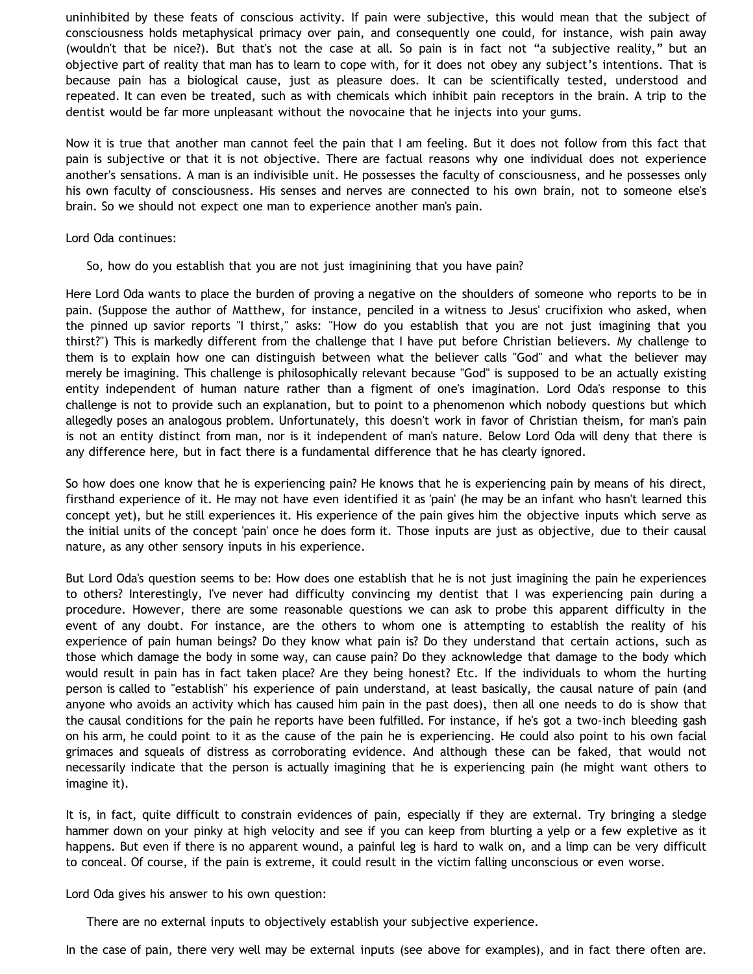uninhibited by these feats of conscious activity. If pain were subjective, this would mean that the subject of consciousness holds metaphysical primacy over pain, and consequently one could, for instance, wish pain away (wouldn't that be nice?). But that's not the case at all. So pain is in fact not "a subjective reality," but an objective part of reality that man has to learn to cope with, for it does not obey any subject's intentions. That is because pain has a biological cause, just as pleasure does. It can be scientifically tested, understood and repeated. It can even be treated, such as with chemicals which inhibit pain receptors in the brain. A trip to the dentist would be far more unpleasant without the novocaine that he injects into your gums.

Now it is true that another man cannot feel the pain that I am feeling. But it does not follow from this fact that pain is subjective or that it is not objective. There are factual reasons why one individual does not experience another's sensations. A man is an indivisible unit. He possesses the faculty of consciousness, and he possesses only his own faculty of consciousness. His senses and nerves are connected to his own brain, not to someone else's brain. So we should not expect one man to experience another man's pain.

Lord Oda continues:

So, how do you establish that you are not just imaginining that you have pain?

Here Lord Oda wants to place the burden of proving a negative on the shoulders of someone who reports to be in pain. (Suppose the author of Matthew, for instance, penciled in a witness to Jesus' crucifixion who asked, when the pinned up savior reports "I thirst," asks: "How do you establish that you are not just imagining that you thirst?") This is markedly different from the challenge that I have put before Christian believers. My challenge to them is to explain how one can distinguish between what the believer calls "God" and what the believer may merely be imagining. This challenge is philosophically relevant because "God" is supposed to be an actually existing entity independent of human nature rather than a figment of one's imagination. Lord Oda's response to this challenge is not to provide such an explanation, but to point to a phenomenon which nobody questions but which allegedly poses an analogous problem. Unfortunately, this doesn't work in favor of Christian theism, for man's pain is not an entity distinct from man, nor is it independent of man's nature. Below Lord Oda will deny that there is any difference here, but in fact there is a fundamental difference that he has clearly ignored.

So how does one know that he is experiencing pain? He knows that he is experiencing pain by means of his direct, firsthand experience of it. He may not have even identified it as 'pain' (he may be an infant who hasn't learned this concept yet), but he still experiences it. His experience of the pain gives him the objective inputs which serve as the initial units of the concept 'pain' once he does form it. Those inputs are just as objective, due to their causal nature, as any other sensory inputs in his experience.

But Lord Oda's question seems to be: How does one establish that he is not just imagining the pain he experiences to others? Interestingly, I've never had difficulty convincing my dentist that I was experiencing pain during a procedure. However, there are some reasonable questions we can ask to probe this apparent difficulty in the event of any doubt. For instance, are the others to whom one is attempting to establish the reality of his experience of pain human beings? Do they know what pain is? Do they understand that certain actions, such as those which damage the body in some way, can cause pain? Do they acknowledge that damage to the body which would result in pain has in fact taken place? Are they being honest? Etc. If the individuals to whom the hurting person is called to "establish" his experience of pain understand, at least basically, the causal nature of pain (and anyone who avoids an activity which has caused him pain in the past does), then all one needs to do is show that the causal conditions for the pain he reports have been fulfilled. For instance, if he's got a two-inch bleeding gash on his arm, he could point to it as the cause of the pain he is experiencing. He could also point to his own facial grimaces and squeals of distress as corroborating evidence. And although these can be faked, that would not necessarily indicate that the person is actually imagining that he is experiencing pain (he might want others to imagine it).

It is, in fact, quite difficult to constrain evidences of pain, especially if they are external. Try bringing a sledge hammer down on your pinky at high velocity and see if you can keep from blurting a yelp or a few expletive as it happens. But even if there is no apparent wound, a painful leg is hard to walk on, and a limp can be very difficult to conceal. Of course, if the pain is extreme, it could result in the victim falling unconscious or even worse.

Lord Oda gives his answer to his own question:

There are no external inputs to objectively establish your subjective experience.

In the case of pain, there very well may be external inputs (see above for examples), and in fact there often are.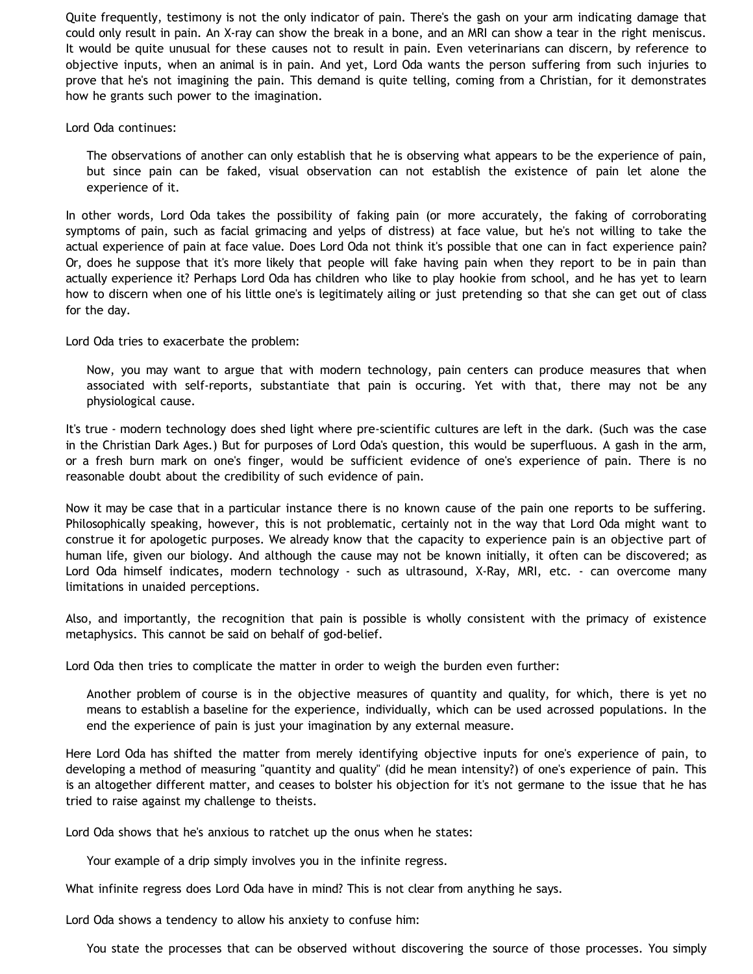Quite frequently, testimony is not the only indicator of pain. There's the gash on your arm indicating damage that could only result in pain. An X-ray can show the break in a bone, and an MRI can show a tear in the right meniscus. It would be quite unusual for these causes not to result in pain. Even veterinarians can discern, by reference to objective inputs, when an animal is in pain. And yet, Lord Oda wants the person suffering from such injuries to prove that he's not imagining the pain. This demand is quite telling, coming from a Christian, for it demonstrates how he grants such power to the imagination.

Lord Oda continues:

The observations of another can only establish that he is observing what appears to be the experience of pain, but since pain can be faked, visual observation can not establish the existence of pain let alone the experience of it.

In other words, Lord Oda takes the possibility of faking pain (or more accurately, the faking of corroborating symptoms of pain, such as facial grimacing and yelps of distress) at face value, but he's not willing to take the actual experience of pain at face value. Does Lord Oda not think it's possible that one can in fact experience pain? Or, does he suppose that it's more likely that people will fake having pain when they report to be in pain than actually experience it? Perhaps Lord Oda has children who like to play hookie from school, and he has yet to learn how to discern when one of his little one's is legitimately ailing or just pretending so that she can get out of class for the day.

Lord Oda tries to exacerbate the problem:

Now, you may want to argue that with modern technology, pain centers can produce measures that when associated with self-reports, substantiate that pain is occuring. Yet with that, there may not be any physiological cause.

It's true - modern technology does shed light where pre-scientific cultures are left in the dark. (Such was the case in the Christian Dark Ages.) But for purposes of Lord Oda's question, this would be superfluous. A gash in the arm, or a fresh burn mark on one's finger, would be sufficient evidence of one's experience of pain. There is no reasonable doubt about the credibility of such evidence of pain.

Now it may be case that in a particular instance there is no known cause of the pain one reports to be suffering. Philosophically speaking, however, this is not problematic, certainly not in the way that Lord Oda might want to construe it for apologetic purposes. We already know that the capacity to experience pain is an objective part of human life, given our biology. And although the cause may not be known initially, it often can be discovered; as Lord Oda himself indicates, modern technology - such as ultrasound, X-Ray, MRI, etc. - can overcome many limitations in unaided perceptions.

Also, and importantly, the recognition that pain is possible is wholly consistent with the primacy of existence metaphysics. This cannot be said on behalf of god-belief.

Lord Oda then tries to complicate the matter in order to weigh the burden even further:

Another problem of course is in the objective measures of quantity and quality, for which, there is yet no means to establish a baseline for the experience, individually, which can be used acrossed populations. In the end the experience of pain is just your imagination by any external measure.

Here Lord Oda has shifted the matter from merely identifying objective inputs for one's experience of pain, to developing a method of measuring "quantity and quality" (did he mean intensity?) of one's experience of pain. This is an altogether different matter, and ceases to bolster his objection for it's not germane to the issue that he has tried to raise against my challenge to theists.

Lord Oda shows that he's anxious to ratchet up the onus when he states:

Your example of a drip simply involves you in the infinite regress.

What infinite regress does Lord Oda have in mind? This is not clear from anything he says.

Lord Oda shows a tendency to allow his anxiety to confuse him:

You state the processes that can be observed without discovering the source of those processes. You simply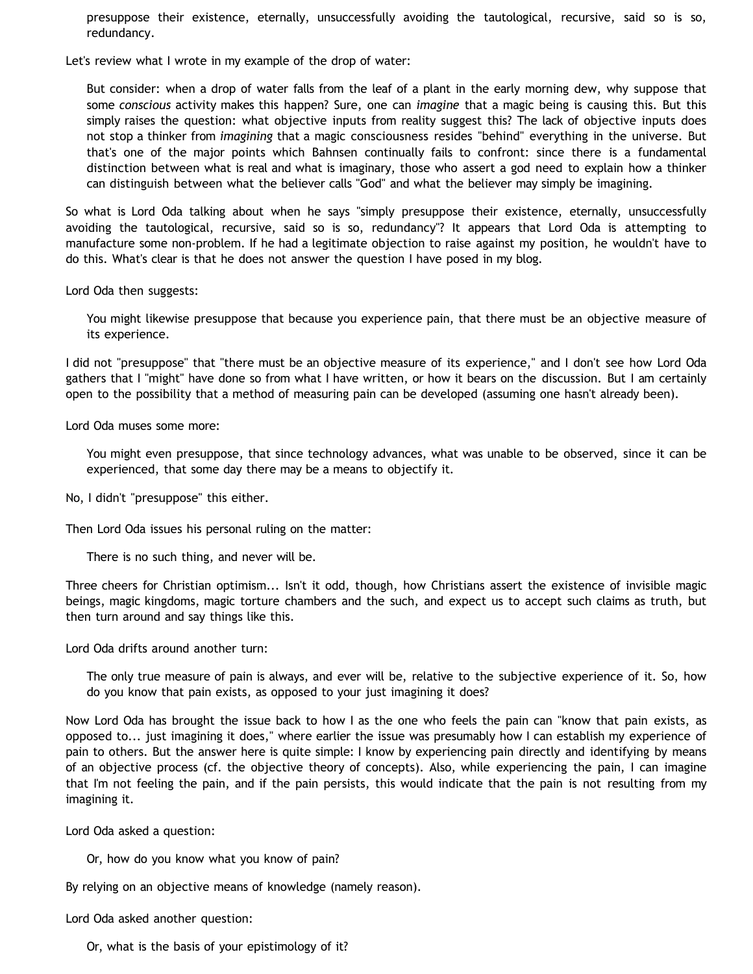presuppose their existence, eternally, unsuccessfully avoiding the tautological, recursive, said so is so, redundancy.

Let's review what I wrote in my example of the drop of water:

But consider: when a drop of water falls from the leaf of a plant in the early morning dew, why suppose that some *conscious* activity makes this happen? Sure, one can *imagine* that a magic being is causing this. But this simply raises the question: what objective inputs from reality suggest this? The lack of objective inputs does not stop a thinker from *imagining* that a magic consciousness resides "behind" everything in the universe. But that's one of the major points which Bahnsen continually fails to confront: since there is a fundamental distinction between what is real and what is imaginary, those who assert a god need to explain how a thinker can distinguish between what the believer calls "God" and what the believer may simply be imagining.

So what is Lord Oda talking about when he says "simply presuppose their existence, eternally, unsuccessfully avoiding the tautological, recursive, said so is so, redundancy"? It appears that Lord Oda is attempting to manufacture some non-problem. If he had a legitimate objection to raise against my position, he wouldn't have to do this. What's clear is that he does not answer the question I have posed in my blog.

Lord Oda then suggests:

You might likewise presuppose that because you experience pain, that there must be an objective measure of its experience.

I did not "presuppose" that "there must be an objective measure of its experience," and I don't see how Lord Oda gathers that I "might" have done so from what I have written, or how it bears on the discussion. But I am certainly open to the possibility that a method of measuring pain can be developed (assuming one hasn't already been).

Lord Oda muses some more:

You might even presuppose, that since technology advances, what was unable to be observed, since it can be experienced, that some day there may be a means to objectify it.

No, I didn't "presuppose" this either.

Then Lord Oda issues his personal ruling on the matter:

There is no such thing, and never will be.

Three cheers for Christian optimism... Isn't it odd, though, how Christians assert the existence of invisible magic beings, magic kingdoms, magic torture chambers and the such, and expect us to accept such claims as truth, but then turn around and say things like this.

Lord Oda drifts around another turn:

The only true measure of pain is always, and ever will be, relative to the subjective experience of it. So, how do you know that pain exists, as opposed to your just imagining it does?

Now Lord Oda has brought the issue back to how I as the one who feels the pain can "know that pain exists, as opposed to... just imagining it does," where earlier the issue was presumably how I can establish my experience of pain to others. But the answer here is quite simple: I know by experiencing pain directly and identifying by means of an objective process (cf. the objective theory of concepts). Also, while experiencing the pain, I can imagine that I'm not feeling the pain, and if the pain persists, this would indicate that the pain is not resulting from my imagining it.

Lord Oda asked a question:

Or, how do you know what you know of pain?

By relying on an objective means of knowledge (namely reason).

Lord Oda asked another question:

Or, what is the basis of your epistimology of it?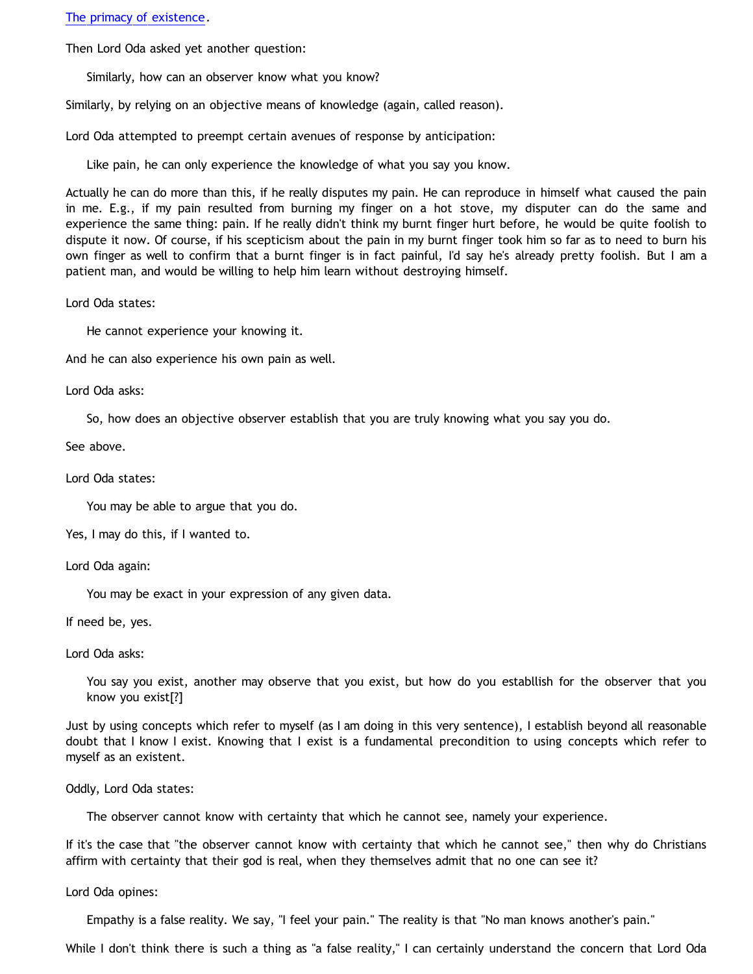[The primacy of existence.](http://www.geocities.com/katholon/AxiomsPOE.htm)

Then Lord Oda asked yet another question:

Similarly, how can an observer know what you know?

Similarly, by relying on an objective means of knowledge (again, called reason).

Lord Oda attempted to preempt certain avenues of response by anticipation:

Like pain, he can only experience the knowledge of what you say you know.

Actually he can do more than this, if he really disputes my pain. He can reproduce in himself what caused the pain in me. E.g., if my pain resulted from burning my finger on a hot stove, my disputer can do the same and experience the same thing: pain. If he really didn't think my burnt finger hurt before, he would be quite foolish to dispute it now. Of course, if his scepticism about the pain in my burnt finger took him so far as to need to burn his own finger as well to confirm that a burnt finger is in fact painful, I'd say he's already pretty foolish. But I am a patient man, and would be willing to help him learn without destroying himself.

Lord Oda states:

He cannot experience your knowing it.

And he can also experience his own pain as well.

Lord Oda asks:

So, how does an objective observer establish that you are truly knowing what you say you do.

See above.

Lord Oda states:

You may be able to argue that you do.

Yes, I may do this, if I wanted to.

Lord Oda again:

You may be exact in your expression of any given data.

If need be, yes.

Lord Oda asks:

You say you exist, another may observe that you exist, but how do you establlish for the observer that you know you exist[?]

Just by using concepts which refer to myself (as I am doing in this very sentence), I establish beyond all reasonable doubt that I know I exist. Knowing that I exist is a fundamental precondition to using concepts which refer to myself as an existent.

Oddly, Lord Oda states:

The observer cannot know with certainty that which he cannot see, namely your experience.

If it's the case that "the observer cannot know with certainty that which he cannot see," then why do Christians affirm with certainty that their god is real, when they themselves admit that no one can see it?

Lord Oda opines:

Empathy is a false reality. We say, "I feel your pain." The reality is that "No man knows another's pain."

While I don't think there is such a thing as "a false reality," I can certainly understand the concern that Lord Oda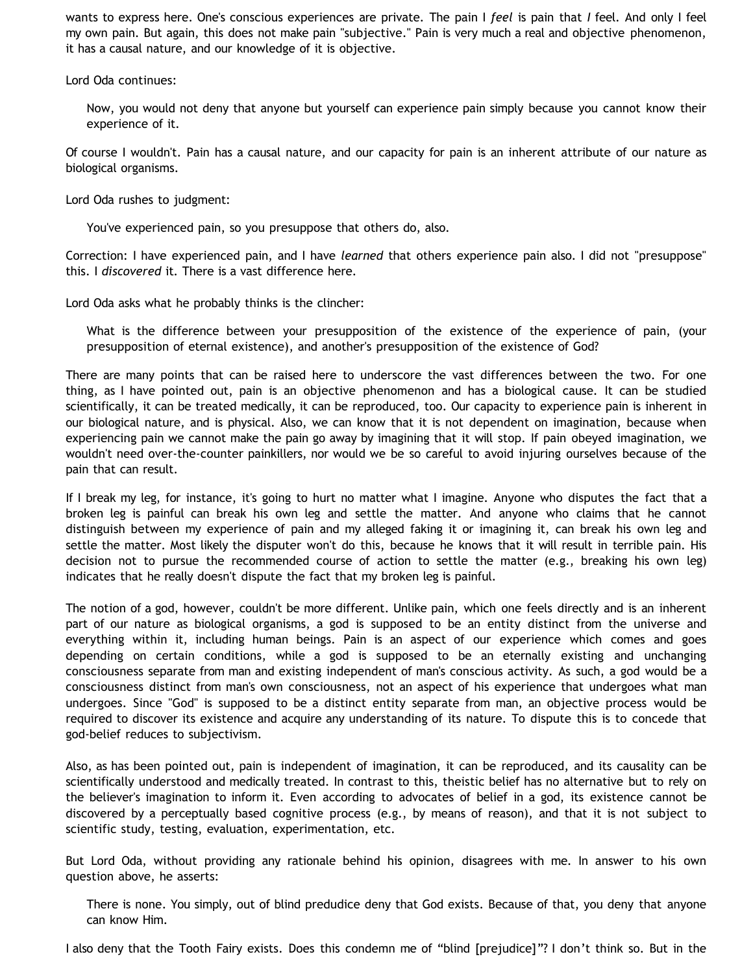wants to express here. One's conscious experiences are private. The pain I *feel* is pain that *I* feel. And only I feel my own pain. But again, this does not make pain "subjective." Pain is very much a real and objective phenomenon, it has a causal nature, and our knowledge of it is objective.

Lord Oda continues:

Now, you would not deny that anyone but yourself can experience pain simply because you cannot know their experience of it.

Of course I wouldn't. Pain has a causal nature, and our capacity for pain is an inherent attribute of our nature as biological organisms.

Lord Oda rushes to judgment:

You've experienced pain, so you presuppose that others do, also.

Correction: I have experienced pain, and I have *learned* that others experience pain also. I did not "presuppose" this. I *discovered* it. There is a vast difference here.

Lord Oda asks what he probably thinks is the clincher:

What is the difference between your presupposition of the existence of the experience of pain, (your presupposition of eternal existence), and another's presupposition of the existence of God?

There are many points that can be raised here to underscore the vast differences between the two. For one thing, as I have pointed out, pain is an objective phenomenon and has a biological cause. It can be studied scientifically, it can be treated medically, it can be reproduced, too. Our capacity to experience pain is inherent in our biological nature, and is physical. Also, we can know that it is not dependent on imagination, because when experiencing pain we cannot make the pain go away by imagining that it will stop. If pain obeyed imagination, we wouldn't need over-the-counter painkillers, nor would we be so careful to avoid injuring ourselves because of the pain that can result.

If I break my leg, for instance, it's going to hurt no matter what I imagine. Anyone who disputes the fact that a broken leg is painful can break his own leg and settle the matter. And anyone who claims that he cannot distinguish between my experience of pain and my alleged faking it or imagining it, can break his own leg and settle the matter. Most likely the disputer won't do this, because he knows that it will result in terrible pain. His decision not to pursue the recommended course of action to settle the matter (e.g., breaking his own leg) indicates that he really doesn't dispute the fact that my broken leg is painful.

The notion of a god, however, couldn't be more different. Unlike pain, which one feels directly and is an inherent part of our nature as biological organisms, a god is supposed to be an entity distinct from the universe and everything within it, including human beings. Pain is an aspect of our experience which comes and goes depending on certain conditions, while a god is supposed to be an eternally existing and unchanging consciousness separate from man and existing independent of man's conscious activity. As such, a god would be a consciousness distinct from man's own consciousness, not an aspect of his experience that undergoes what man undergoes. Since "God" is supposed to be a distinct entity separate from man, an objective process would be required to discover its existence and acquire any understanding of its nature. To dispute this is to concede that god-belief reduces to subjectivism.

Also, as has been pointed out, pain is independent of imagination, it can be reproduced, and its causality can be scientifically understood and medically treated. In contrast to this, theistic belief has no alternative but to rely on the believer's imagination to inform it. Even according to advocates of belief in a god, its existence cannot be discovered by a perceptually based cognitive process (e.g., by means of reason), and that it is not subject to scientific study, testing, evaluation, experimentation, etc.

But Lord Oda, without providing any rationale behind his opinion, disagrees with me. In answer to his own question above, he asserts:

There is none. You simply, out of blind predudice deny that God exists. Because of that, you deny that anyone can know Him.

I also deny that the Tooth Fairy exists. Does this condemn me of "blind [prejudice]"? I don't think so. But in the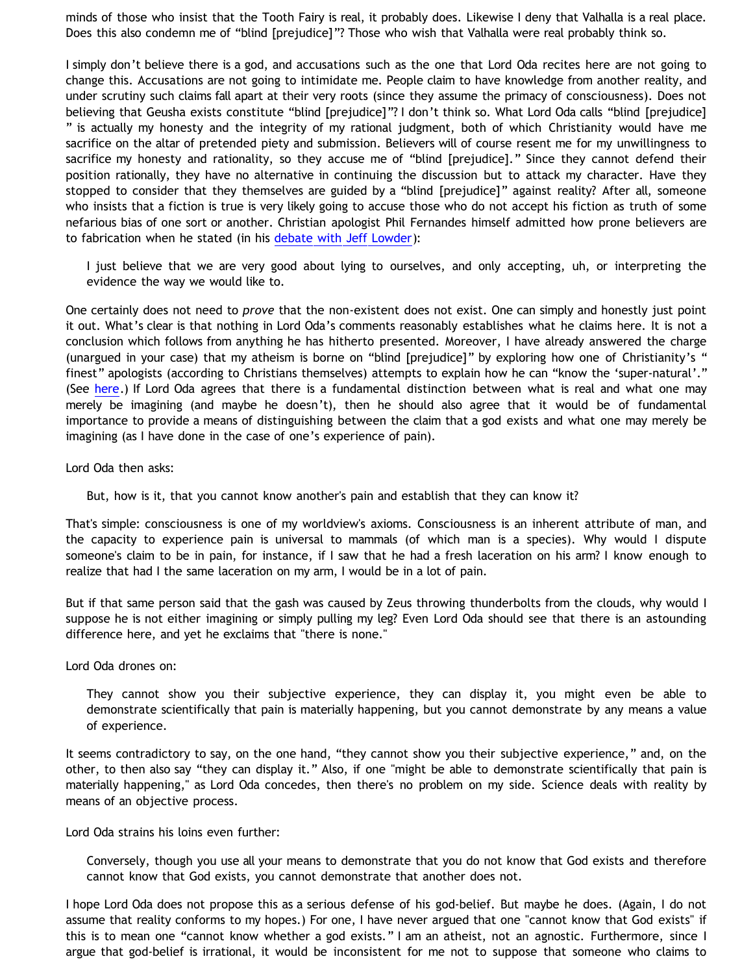minds of those who insist that the Tooth Fairy is real, it probably does. Likewise I deny that Valhalla is a real place. Does this also condemn me of "blind [prejudice]"? Those who wish that Valhalla were real probably think so.

I simply don't believe there is a god, and accusations such as the one that Lord Oda recites here are not going to change this. Accusations are not going to intimidate me. People claim to have knowledge from another reality, and under scrutiny such claims fall apart at their very roots (since they assume the primacy of consciousness). Does not believing that Geusha exists constitute "blind [prejudice]"? I don't think so. What Lord Oda calls "blind [prejudice] " is actually my honesty and the integrity of my rational judgment, both of which Christianity would have me sacrifice on the altar of pretended piety and submission. Believers will of course resent me for my unwillingness to sacrifice my honesty and rationality, so they accuse me of "blind [prejudice]." Since they cannot defend their position rationally, they have no alternative in continuing the discussion but to attack my character. Have they stopped to consider that they themselves are guided by a "blind [prejudice]" against reality? After all, someone who insists that a fiction is true is very likely going to accuse those who do not accept his fiction as truth of some nefarious bias of one sort or another. Christian apologist Phil Fernandes himself admitted how prone believers are to fabrication when he stated (in his [debate with Jeff Lowder\)](http://www.infidels.org/infidels/products/video/lowder-fernandes.html):

I just believe that we are very good about lying to ourselves, and only accepting, uh, or interpreting the evidence the way we would like to.

One certainly does not need to *prove* that the non-existent does not exist. One can simply and honestly just point it out. What's clear is that nothing in Lord Oda's comments reasonably establishes what he claims here. It is not a conclusion which follows from anything he has hitherto presented. Moreover, I have already answered the charge (unargued in your case) that my atheism is borne on "blind [prejudice]" by exploring how one of Christianity's " finest" apologists (according to Christians themselves) attempts to explain how he can "know the 'super-natural'." (See [here.](http://www.geocities.com/katholon/Bahnsen_Supernatural.htm)) If Lord Oda agrees that there is a fundamental distinction between what is real and what one may merely be imagining (and maybe he doesn't), then he should also agree that it would be of fundamental importance to provide a means of distinguishing between the claim that a god exists and what one may merely be imagining (as I have done in the case of one's experience of pain).

Lord Oda then asks:

But, how is it, that you cannot know another's pain and establish that they can know it?

That's simple: consciousness is one of my worldview's axioms. Consciousness is an inherent attribute of man, and the capacity to experience pain is universal to mammals (of which man is a species). Why would I dispute someone's claim to be in pain, for instance, if I saw that he had a fresh laceration on his arm? I know enough to realize that had I the same laceration on my arm, I would be in a lot of pain.

But if that same person said that the gash was caused by Zeus throwing thunderbolts from the clouds, why would I suppose he is not either imagining or simply pulling my leg? Even Lord Oda should see that there is an astounding difference here, and yet he exclaims that "there is none."

Lord Oda drones on:

They cannot show you their subjective experience, they can display it, you might even be able to demonstrate scientifically that pain is materially happening, but you cannot demonstrate by any means a value of experience.

It seems contradictory to say, on the one hand, "they cannot show you their subjective experience," and, on the other, to then also say "they can display it." Also, if one "might be able to demonstrate scientifically that pain is materially happening," as Lord Oda concedes, then there's no problem on my side. Science deals with reality by means of an objective process.

Lord Oda strains his loins even further:

Conversely, though you use all your means to demonstrate that you do not know that God exists and therefore cannot know that God exists, you cannot demonstrate that another does not.

I hope Lord Oda does not propose this as a serious defense of his god-belief. But maybe he does. (Again, I do not assume that reality conforms to my hopes.) For one, I have never argued that one "cannot know that God exists" if this is to mean one "cannot know whether a god exists." I am an atheist, not an agnostic. Furthermore, since I argue that god-belief is irrational, it would be inconsistent for me not to suppose that someone who claims to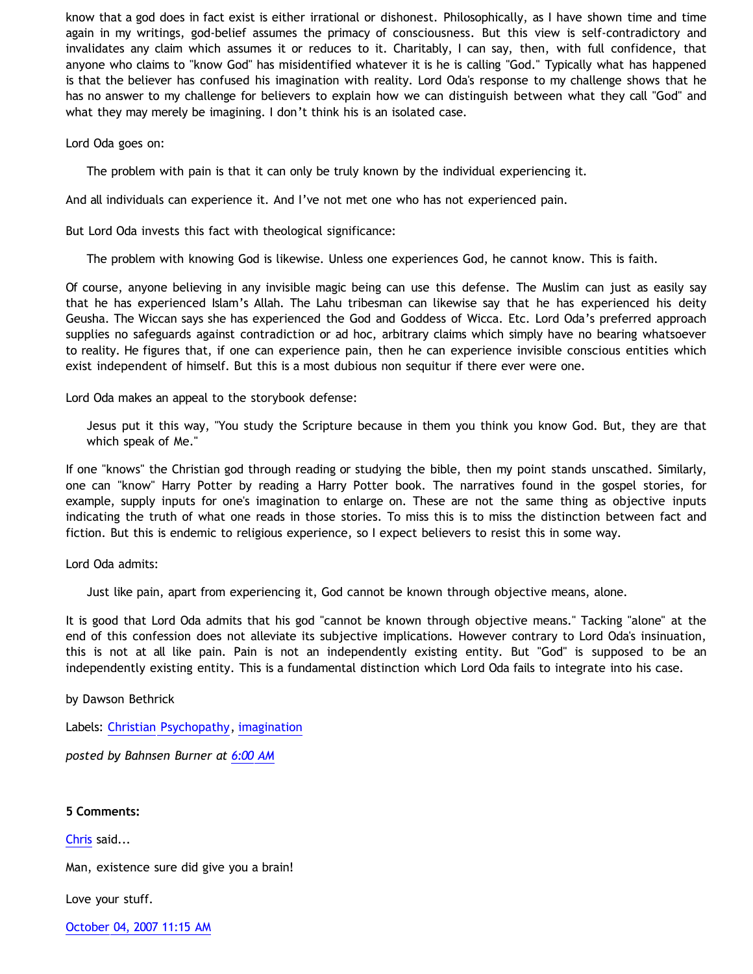know that a god does in fact exist is either irrational or dishonest. Philosophically, as I have shown time and time again in my writings, god-belief assumes the primacy of consciousness. But this view is self-contradictory and invalidates any claim which assumes it or reduces to it. Charitably, I can say, then, with full confidence, that anyone who claims to "know God" has misidentified whatever it is he is calling "God." Typically what has happened is that the believer has confused his imagination with reality. Lord Oda's response to my challenge shows that he has no answer to my challenge for believers to explain how we can distinguish between what they call "God" and what they may merely be imagining. I don't think his is an isolated case.

Lord Oda goes on:

The problem with pain is that it can only be truly known by the individual experiencing it.

And all individuals can experience it. And I've not met one who has not experienced pain.

But Lord Oda invests this fact with theological significance:

The problem with knowing God is likewise. Unless one experiences God, he cannot know. This is faith.

Of course, anyone believing in any invisible magic being can use this defense. The Muslim can just as easily say that he has experienced Islam's Allah. The Lahu tribesman can likewise say that he has experienced his deity Geusha. The Wiccan says she has experienced the God and Goddess of Wicca. Etc. Lord Oda's preferred approach supplies no safeguards against contradiction or ad hoc, arbitrary claims which simply have no bearing whatsoever to reality. He figures that, if one can experience pain, then he can experience invisible conscious entities which exist independent of himself. But this is a most dubious non sequitur if there ever were one.

Lord Oda makes an appeal to the storybook defense:

Jesus put it this way, "You study the Scripture because in them you think you know God. But, they are that which speak of Me."

If one "knows" the Christian god through reading or studying the bible, then my point stands unscathed. Similarly, one can "know" Harry Potter by reading a Harry Potter book. The narratives found in the gospel stories, for example, supply inputs for one's imagination to enlarge on. These are not the same thing as objective inputs indicating the truth of what one reads in those stories. To miss this is to miss the distinction between fact and fiction. But this is endemic to religious experience, so I expect believers to resist this in some way.

Lord Oda admits:

Just like pain, apart from experiencing it, God cannot be known through objective means, alone.

It is good that Lord Oda admits that his god "cannot be known through objective means." Tacking "alone" at the end of this confession does not alleviate its subjective implications. However contrary to Lord Oda's insinuation, this is not at all like pain. Pain is not an independently existing entity. But "God" is supposed to be an independently existing entity. This is a fundamental distinction which Lord Oda fails to integrate into his case.

by Dawson Bethrick

Labels: [Christian Psychopathy](http://bahnsenburner.blogspot.com/search/label/Christian%20Psychopathy), [imagination](http://bahnsenburner.blogspot.com/search/label/imagination)

*posted by Bahnsen Burner at [6:00 AM](http://bahnsenburner.blogspot.com/2007/10/lord-odas-problem-with-pain.html)*

## **5 Comments:**

[Chris](http://www.blogger.com/profile/13134785155889204025) said...

Man, existence sure did give you a brain!

Love your stuff.

[October 04, 2007 11:15 AM](http://bahnsenburner.blogspot.com/2007/10/1992503612847486965)